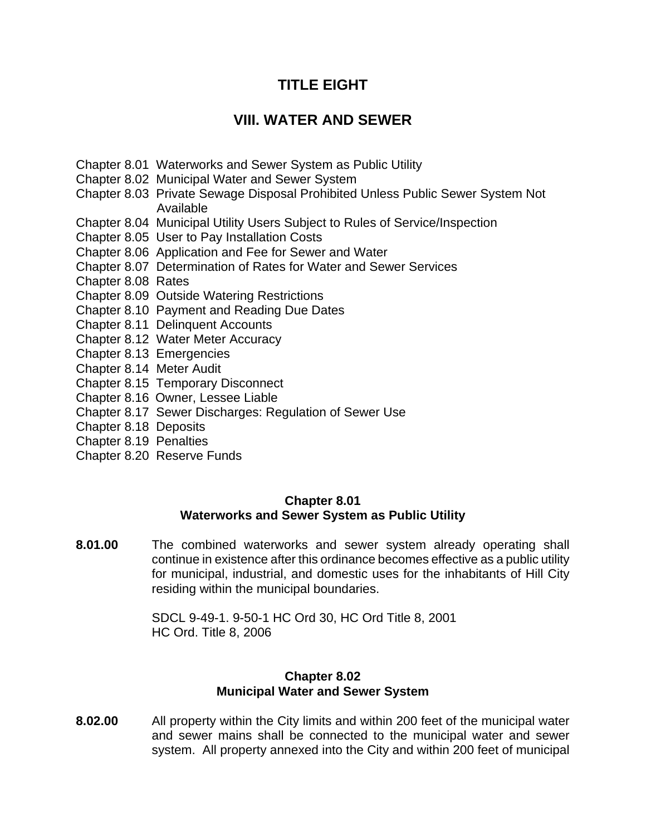# **TITLE EIGHT**

## **VIII. WATER AND SEWER**

- Chapter 8.01 Waterworks and Sewer System as Public Utility
- Chapter 8.02 Municipal Water and Sewer System
- Chapter 8.03 Private Sewage Disposal Prohibited Unless Public Sewer System Not Available
- Chapter 8.04 Municipal Utility Users Subject to Rules of Service/Inspection
- Chapter 8.05 User to Pay Installation Costs
- Chapter 8.06 Application and Fee for Sewer and Water
- Chapter 8.07 Determination of Rates for Water and Sewer Services
- Chapter 8.08 Rates
- Chapter 8.09 Outside Watering Restrictions
- Chapter 8.10 Payment and Reading Due Dates
- Chapter 8.11 Delinquent Accounts
- Chapter 8.12 Water Meter Accuracy
- Chapter 8.13 Emergencies
- Chapter 8.14 Meter Audit
- Chapter 8.15 Temporary Disconnect
- Chapter 8.16 Owner, Lessee Liable
- Chapter 8.17 Sewer Discharges: Regulation of Sewer Use
- Chapter 8.18 Deposits
- Chapter 8.19 Penalties
- Chapter 8.20 Reserve Funds

#### **Chapter 8.01 Waterworks and Sewer System as Public Utility**

**8.01.00** The combined waterworks and sewer system already operating shall continue in existence after this ordinance becomes effective as a public utility for municipal, industrial, and domestic uses for the inhabitants of Hill City residing within the municipal boundaries.

> SDCL 9-49-1. 9-50-1 HC Ord 30, HC Ord Title 8, 2001 HC Ord. Title 8, 2006

#### **Chapter 8.02 Municipal Water and Sewer System**

**8.02.00** All property within the City limits and within 200 feet of the municipal water and sewer mains shall be connected to the municipal water and sewer system. All property annexed into the City and within 200 feet of municipal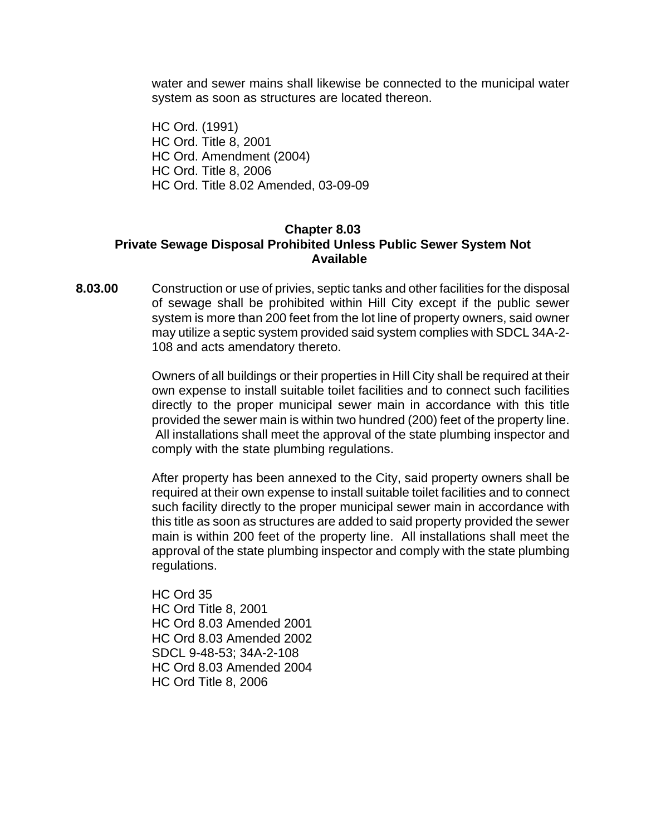water and sewer mains shall likewise be connected to the municipal water system as soon as structures are located thereon.

HC Ord. (1991) HC Ord. Title 8, 2001 HC Ord. Amendment (2004) HC Ord. Title 8, 2006 HC Ord. Title 8.02 Amended, 03-09-09

#### **Chapter 8.03 Private Sewage Disposal Prohibited Unless Public Sewer System Not Available**

**8.03.00** Construction or use of privies, septic tanks and other facilities for the disposal of sewage shall be prohibited within Hill City except if the public sewer system is more than 200 feet from the lot line of property owners, said owner may utilize a septic system provided said system complies with SDCL 34A-2- 108 and acts amendatory thereto.

> Owners of all buildings or their properties in Hill City shall be required at their own expense to install suitable toilet facilities and to connect such facilities directly to the proper municipal sewer main in accordance with this title provided the sewer main is within two hundred (200) feet of the property line. All installations shall meet the approval of the state plumbing inspector and comply with the state plumbing regulations.

> After property has been annexed to the City, said property owners shall be required at their own expense to install suitable toilet facilities and to connect such facility directly to the proper municipal sewer main in accordance with this title as soon as structures are added to said property provided the sewer main is within 200 feet of the property line. All installations shall meet the approval of the state plumbing inspector and comply with the state plumbing regulations.

HC Ord 35 HC Ord Title 8, 2001 HC Ord 8.03 Amended 2001 HC Ord 8.03 Amended 2002 SDCL 9-48-53; 34A-2-108 HC Ord 8.03 Amended 2004 HC Ord Title 8, 2006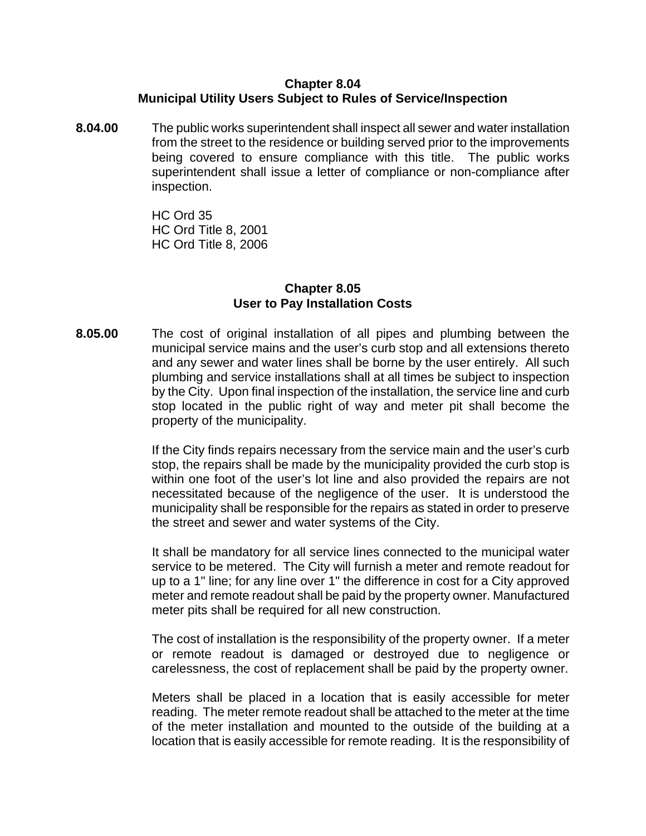#### **Chapter 8.04 Municipal Utility Users Subject to Rules of Service/Inspection**

**8.04.00** The public works superintendent shall inspect all sewer and water installation from the street to the residence or building served prior to the improvements being covered to ensure compliance with this title. The public works superintendent shall issue a letter of compliance or non-compliance after inspection.

> HC Ord 35 HC Ord Title 8, 2001 HC Ord Title 8, 2006

#### **Chapter 8.05 User to Pay Installation Costs**

**8.05.00** The cost of original installation of all pipes and plumbing between the municipal service mains and the user's curb stop and all extensions thereto and any sewer and water lines shall be borne by the user entirely. All such plumbing and service installations shall at all times be subject to inspection by the City. Upon final inspection of the installation, the service line and curb stop located in the public right of way and meter pit shall become the property of the municipality.

> If the City finds repairs necessary from the service main and the user's curb stop, the repairs shall be made by the municipality provided the curb stop is within one foot of the user's lot line and also provided the repairs are not necessitated because of the negligence of the user. It is understood the municipality shall be responsible for the repairs as stated in order to preserve the street and sewer and water systems of the City.

> It shall be mandatory for all service lines connected to the municipal water service to be metered. The City will furnish a meter and remote readout for up to a 1" line; for any line over 1" the difference in cost for a City approved meter and remote readout shall be paid by the property owner. Manufactured meter pits shall be required for all new construction.

> The cost of installation is the responsibility of the property owner. If a meter or remote readout is damaged or destroyed due to negligence or carelessness, the cost of replacement shall be paid by the property owner.

> Meters shall be placed in a location that is easily accessible for meter reading. The meter remote readout shall be attached to the meter at the time of the meter installation and mounted to the outside of the building at a location that is easily accessible for remote reading. It is the responsibility of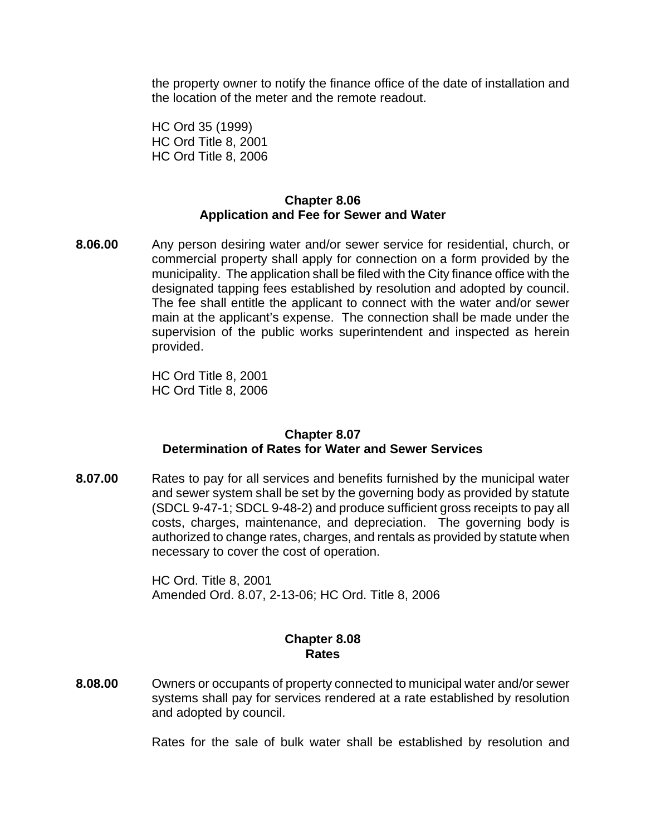the property owner to notify the finance office of the date of installation and the location of the meter and the remote readout.

HC Ord 35 (1999) HC Ord Title 8, 2001 HC Ord Title 8, 2006

#### **Chapter 8.06 Application and Fee for Sewer and Water**

**8.06.00** Any person desiring water and/or sewer service for residential, church, or commercial property shall apply for connection on a form provided by the municipality. The application shall be filed with the City finance office with the designated tapping fees established by resolution and adopted by council. The fee shall entitle the applicant to connect with the water and/or sewer main at the applicant's expense. The connection shall be made under the supervision of the public works superintendent and inspected as herein provided.

> HC Ord Title 8, 2001 HC Ord Title 8, 2006

## **Chapter 8.07 Determination of Rates for Water and Sewer Services**

**8.07.00** Rates to pay for all services and benefits furnished by the municipal water and sewer system shall be set by the governing body as provided by statute (SDCL 9-47-1; SDCL 9-48-2) and produce sufficient gross receipts to pay all costs, charges, maintenance, and depreciation. The governing body is authorized to change rates, charges, and rentals as provided by statute when necessary to cover the cost of operation.

> HC Ord. Title 8, 2001 Amended Ord. 8.07, 2-13-06; HC Ord. Title 8, 2006

## **Chapter 8.08 Rates**

**8.08.00** Owners or occupants of property connected to municipal water and/or sewer systems shall pay for services rendered at a rate established by resolution and adopted by council.

Rates for the sale of bulk water shall be established by resolution and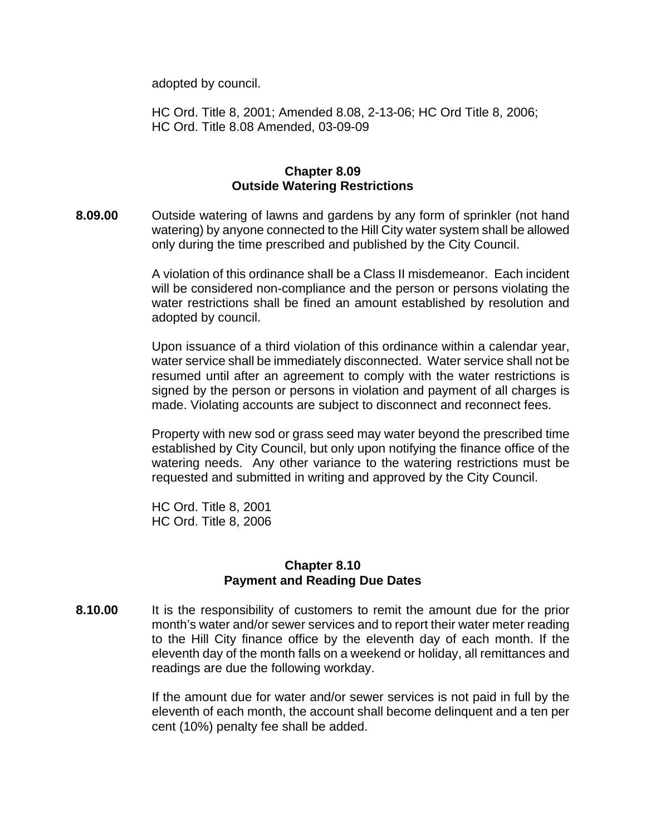adopted by council.

HC Ord. Title 8, 2001; Amended 8.08, 2-13-06; HC Ord Title 8, 2006; HC Ord. Title 8.08 Amended, 03-09-09

#### **Chapter 8.09 Outside Watering Restrictions**

**8.09.00** Outside watering of lawns and gardens by any form of sprinkler (not hand watering) by anyone connected to the Hill City water system shall be allowed only during the time prescribed and published by the City Council.

> A violation of this ordinance shall be a Class II misdemeanor. Each incident will be considered non-compliance and the person or persons violating the water restrictions shall be fined an amount established by resolution and adopted by council.

> Upon issuance of a third violation of this ordinance within a calendar year, water service shall be immediately disconnected. Water service shall not be resumed until after an agreement to comply with the water restrictions is signed by the person or persons in violation and payment of all charges is made. Violating accounts are subject to disconnect and reconnect fees.

> Property with new sod or grass seed may water beyond the prescribed time established by City Council, but only upon notifying the finance office of the watering needs. Any other variance to the watering restrictions must be requested and submitted in writing and approved by the City Council.

HC Ord. Title 8, 2001 HC Ord. Title 8, 2006

#### **Chapter 8.10 Payment and Reading Due Dates**

**8.10.00** It is the responsibility of customers to remit the amount due for the prior month's water and/or sewer services and to report their water meter reading to the Hill City finance office by the eleventh day of each month. If the eleventh day of the month falls on a weekend or holiday, all remittances and readings are due the following workday.

> If the amount due for water and/or sewer services is not paid in full by the eleventh of each month, the account shall become delinquent and a ten per cent (10%) penalty fee shall be added.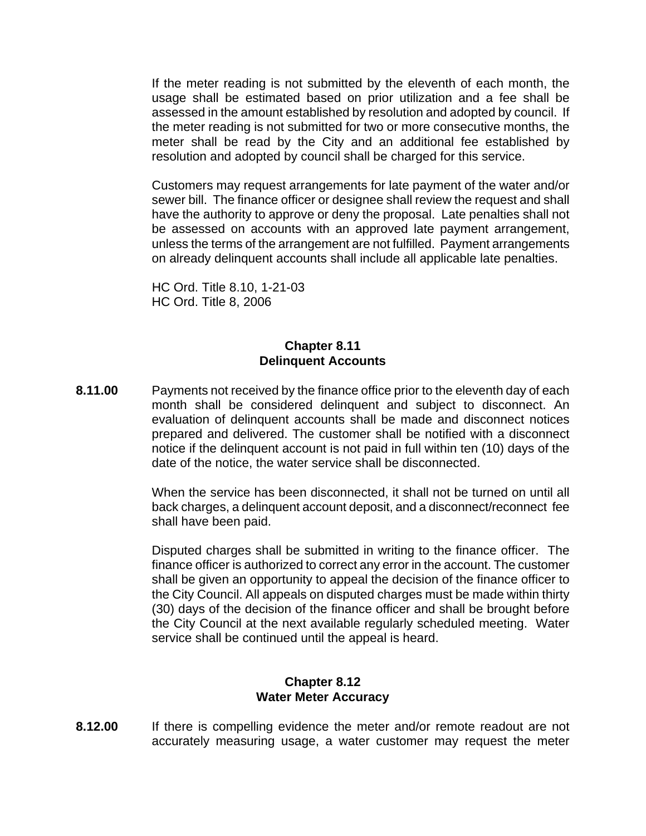If the meter reading is not submitted by the eleventh of each month, the usage shall be estimated based on prior utilization and a fee shall be assessed in the amount established by resolution and adopted by council. If the meter reading is not submitted for two or more consecutive months, the meter shall be read by the City and an additional fee established by resolution and adopted by council shall be charged for this service.

Customers may request arrangements for late payment of the water and/or sewer bill. The finance officer or designee shall review the request and shall have the authority to approve or deny the proposal. Late penalties shall not be assessed on accounts with an approved late payment arrangement, unless the terms of the arrangement are not fulfilled. Payment arrangements on already delinquent accounts shall include all applicable late penalties.

 HC Ord. Title 8.10, 1-21-03 HC Ord. Title 8, 2006

#### **Chapter 8.11 Delinquent Accounts**

**8.11.00** Payments not received by the finance office prior to the eleventh day of each month shall be considered delinquent and subject to disconnect. An evaluation of delinquent accounts shall be made and disconnect notices prepared and delivered. The customer shall be notified with a disconnect notice if the delinquent account is not paid in full within ten (10) days of the date of the notice, the water service shall be disconnected.

> When the service has been disconnected, it shall not be turned on until all back charges, a delinquent account deposit, and a disconnect/reconnect fee shall have been paid.

> Disputed charges shall be submitted in writing to the finance officer. The finance officer is authorized to correct any error in the account. The customer shall be given an opportunity to appeal the decision of the finance officer to the City Council. All appeals on disputed charges must be made within thirty (30) days of the decision of the finance officer and shall be brought before the City Council at the next available regularly scheduled meeting. Water service shall be continued until the appeal is heard.

#### **Chapter 8.12 Water Meter Accuracy**

**8.12.00** If there is compelling evidence the meter and/or remote readout are not accurately measuring usage, a water customer may request the meter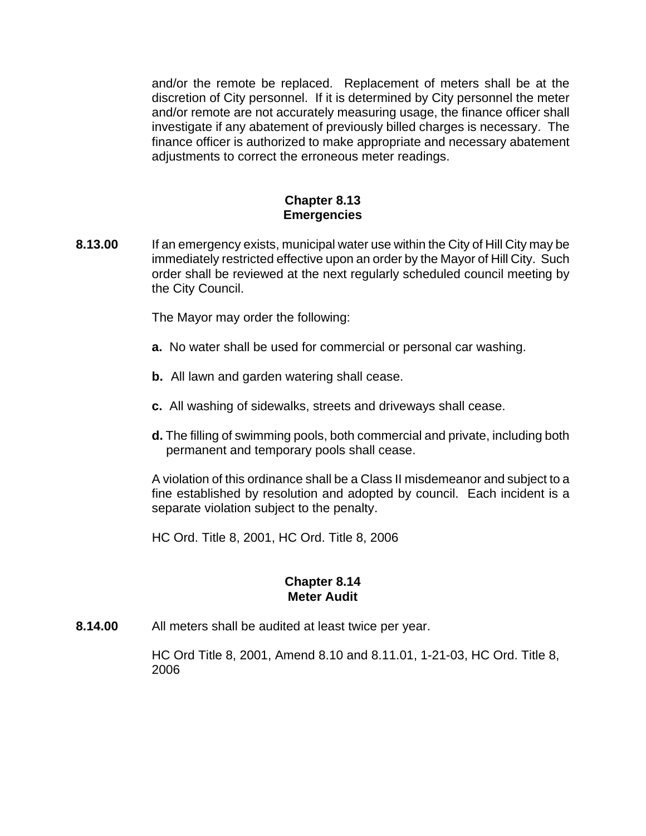and/or the remote be replaced. Replacement of meters shall be at the discretion of City personnel. If it is determined by City personnel the meter and/or remote are not accurately measuring usage, the finance officer shall investigate if any abatement of previously billed charges is necessary. The finance officer is authorized to make appropriate and necessary abatement adjustments to correct the erroneous meter readings.

#### **Chapter 8.13 Emergencies**

**8.13.00** If an emergency exists, municipal water use within the City of Hill City may be immediately restricted effective upon an order by the Mayor of Hill City. Such order shall be reviewed at the next regularly scheduled council meeting by the City Council.

The Mayor may order the following:

- **a.** No water shall be used for commercial or personal car washing.
- **b.** All lawn and garden watering shall cease.
- **c.** All washing of sidewalks, streets and driveways shall cease.
- **d.** The filling of swimming pools, both commercial and private, including both permanent and temporary pools shall cease.

A violation of this ordinance shall be a Class II misdemeanor and subject to a fine established by resolution and adopted by council. Each incident is a separate violation subject to the penalty.

HC Ord. Title 8, 2001, HC Ord. Title 8, 2006

## **Chapter 8.14 Meter Audit**

**8.14.00** All meters shall be audited at least twice per year.

HC Ord Title 8, 2001, Amend 8.10 and 8.11.01, 1-21-03, HC Ord. Title 8, 2006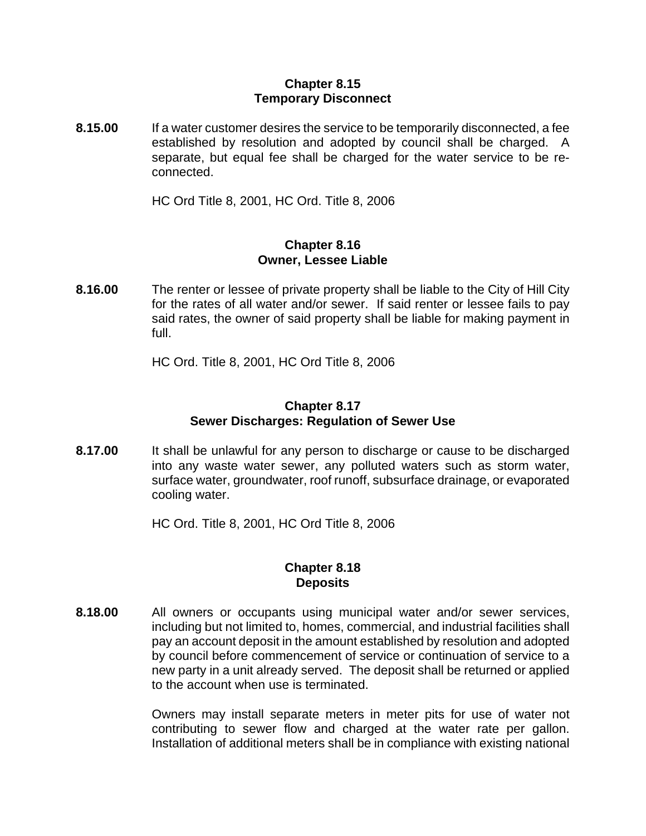#### **Chapter 8.15 Temporary Disconnect**

**8.15.00** If a water customer desires the service to be temporarily disconnected, a fee established by resolution and adopted by council shall be charged. A separate, but equal fee shall be charged for the water service to be reconnected.

HC Ord Title 8, 2001, HC Ord. Title 8, 2006

#### **Chapter 8.16 Owner, Lessee Liable**

**8.16.00** The renter or lessee of private property shall be liable to the City of Hill City for the rates of all water and/or sewer. If said renter or lessee fails to pay said rates, the owner of said property shall be liable for making payment in full.

HC Ord. Title 8, 2001, HC Ord Title 8, 2006

#### **Chapter 8.17 Sewer Discharges: Regulation of Sewer Use**

**8.17.00** It shall be unlawful for any person to discharge or cause to be discharged into any waste water sewer, any polluted waters such as storm water, surface water, groundwater, roof runoff, subsurface drainage, or evaporated cooling water.

HC Ord. Title 8, 2001, HC Ord Title 8, 2006

#### **Chapter 8.18 Deposits**

**8.18.00** All owners or occupants using municipal water and/or sewer services, including but not limited to, homes, commercial, and industrial facilities shall pay an account deposit in the amount established by resolution and adopted by council before commencement of service or continuation of service to a new party in a unit already served. The deposit shall be returned or applied to the account when use is terminated.

> Owners may install separate meters in meter pits for use of water not contributing to sewer flow and charged at the water rate per gallon. Installation of additional meters shall be in compliance with existing national